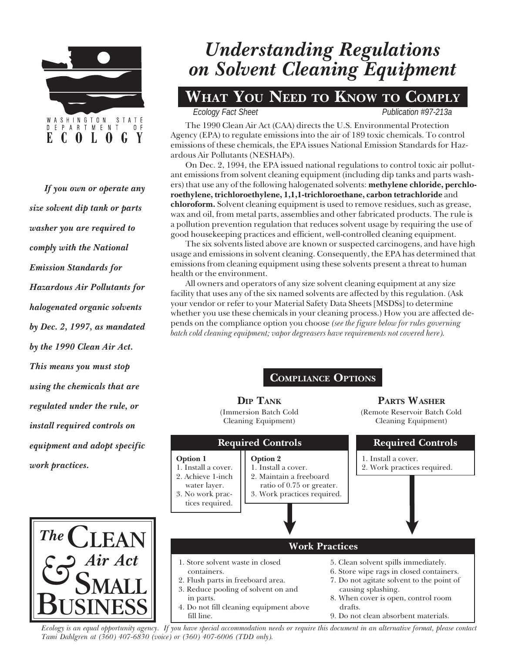

If you own or operate any size solvent dip tank or parts washer you are required to comply with the National Emission Standards for Hazardous Air Pollutants for halogenated organic solvents by Dec. 2, 1997, as mandated by the 1990 Clean Air Act. This means you must stop using the chemicals that are regulated under the rule, or install required controls on equipment and adopt specific work practices.

The

# Understanding Regulations on Solvent Cleaning Equipment

# WHAT YOU NEED TO KNOW TO COMPLY

*Ecology Fact Sheet* Publication #97-213a

The 1990 Clean Air Act (CAA) directs the U.S. Environmental Protection Agency (EPA) to regulate emissions into the air of 189 toxic chemicals. To control emissions of these chemicals, the EPA issues National Emission Standards for Hazardous Air Pollutants (NESHAPs).

On Dec. 2, 1994, the EPA issued national regulations to control toxic air pollutant emissions from solvent cleaning equipment (including dip tanks and parts washers) that use any of the following halogenated solvents: methylene chloride, perchloroethylene, trichloroethylene, 1,1,1-trichloroethane, carbon tetrachloride and chloroform. Solvent cleaning equipment is used to remove residues, such as grease, wax and oil, from metal parts, assemblies and other fabricated products. The rule is a pollution prevention regulation that reduces solvent usage by requiring the use of good housekeeping practices and efficient, well-controlled cleaning equipment.

The six solvents listed above are known or suspected carcinogens, and have high usage and emissions in solvent cleaning. Consequently, the EPA has determined that emissions from cleaning equipment using these solvents present a threat to human health or the environment.

All owners and operators of any size solvent cleaning equipment at any size facility that uses any of the six named solvents are affected by this regulation. (Ask your vendor or refer to your Material Safety Data Sheets [MSDSs] to determine whether you use these chemicals in your cleaning process.) How you are affected depends on the compliance option you choose (see the figure below for rules governing batch cold cleaning equipment; vapor degreasers have requirements not covered here).  $\overline{a}$ 

# COMPLIANCE OPTIONS

**DIP TANK** (Immersion Batch Cold Cleaning Equipment)

#### PARTS WASHER (Remote Reservoir Batch Cold Cleaning Equipment)



Ecology is an equal opportunity agency. If you have special accommodation needs or require this document in an alternative format, please contact Tami Dahlgren at (360) 407-6830 (voice) or (360) 407-6006 (TDD only).